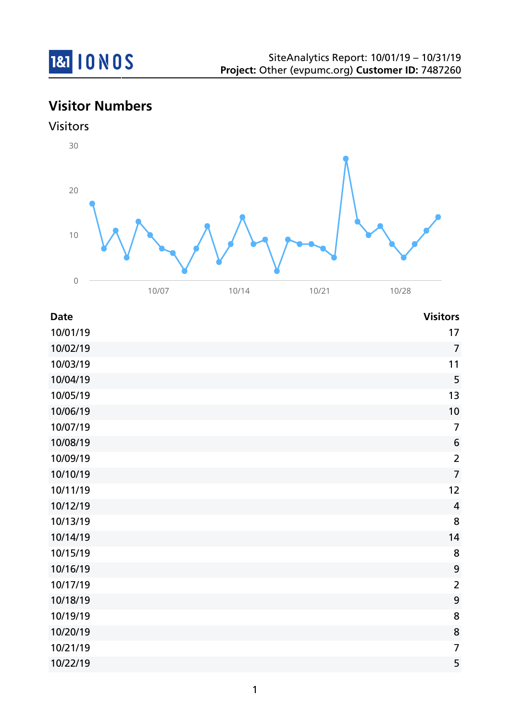

# **Visitor Numbers**





| <b>Date</b> | <b>Visitors</b>  |
|-------------|------------------|
| 10/01/19    | 17               |
| 10/02/19    | $\overline{7}$   |
| 10/03/19    | 11               |
| 10/04/19    | 5                |
| 10/05/19    | 13               |
| 10/06/19    | 10               |
| 10/07/19    | $\overline{7}$   |
| 10/08/19    | $\boldsymbol{6}$ |
| 10/09/19    | $\overline{2}$   |
| 10/10/19    | $\overline{7}$   |
| 10/11/19    | 12               |
| 10/12/19    | $\overline{4}$   |
| 10/13/19    | 8                |
| 10/14/19    | 14               |
| 10/15/19    | 8                |
| 10/16/19    | 9                |
| 10/17/19    | $\overline{2}$   |
| 10/18/19    | 9                |
| 10/19/19    | 8                |
| 10/20/19    | 8                |
| 10/21/19    | $\overline{7}$   |
| 10/22/19    | 5                |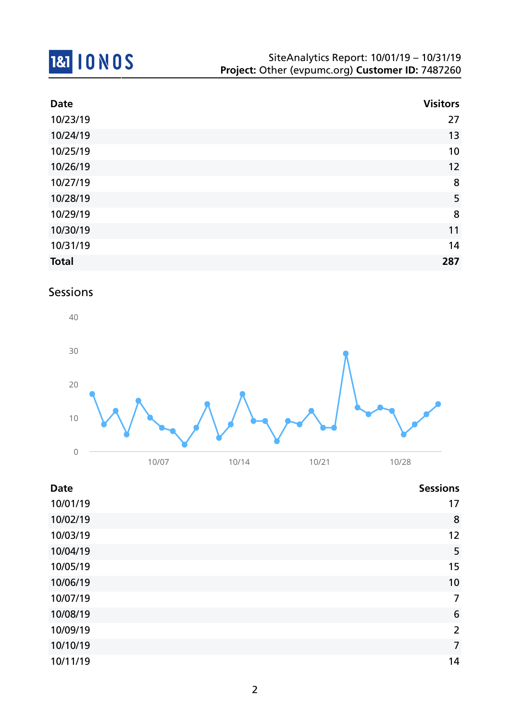

| <b>Date</b>  | <b>Visitors</b> |
|--------------|-----------------|
| 10/23/19     | 27              |
| 10/24/19     | 13              |
| 10/25/19     | 10              |
| 10/26/19     | 12              |
| 10/27/19     | 8               |
| 10/28/19     | 5               |
| 10/29/19     | 8               |
| 10/30/19     | 11              |
| 10/31/19     | 14              |
| <b>Total</b> | 287             |

## Sessions



| <b>Date</b> | <b>Sessions</b> |
|-------------|-----------------|
| 10/01/19    | 17              |
| 10/02/19    | 8               |
| 10/03/19    | 12              |
| 10/04/19    | 5               |
| 10/05/19    | 15              |
| 10/06/19    | 10              |
| 10/07/19    | $\overline{7}$  |
| 10/08/19    | 6               |
| 10/09/19    | $\overline{2}$  |
| 10/10/19    | $\overline{7}$  |
| 10/11/19    | 14              |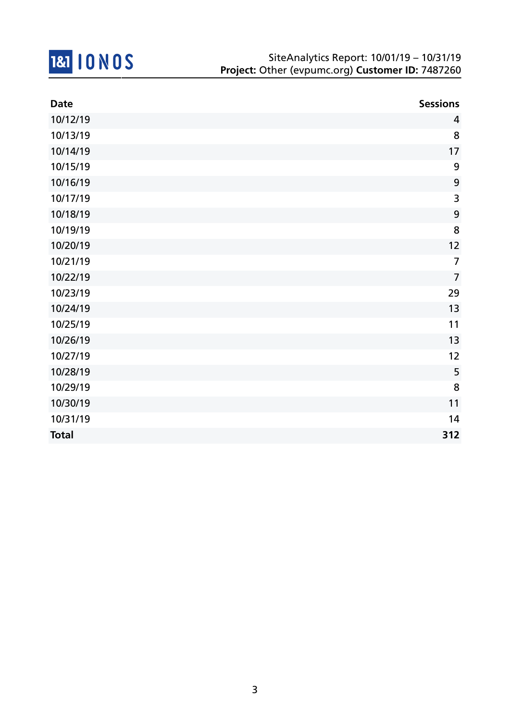

| <b>Date</b>  | <b>Sessions</b> |
|--------------|-----------------|
| 10/12/19     | 4               |
| 10/13/19     | 8               |
| 10/14/19     | 17              |
| 10/15/19     | 9               |
| 10/16/19     | 9               |
| 10/17/19     | 3               |
| 10/18/19     | 9               |
| 10/19/19     | 8               |
| 10/20/19     | 12              |
| 10/21/19     | $\overline{7}$  |
| 10/22/19     | $\overline{7}$  |
| 10/23/19     | 29              |
| 10/24/19     | 13              |
| 10/25/19     | 11              |
| 10/26/19     | 13              |
| 10/27/19     | 12              |
| 10/28/19     | 5               |
| 10/29/19     | 8               |
| 10/30/19     | 11              |
| 10/31/19     | 14              |
| <b>Total</b> | 312             |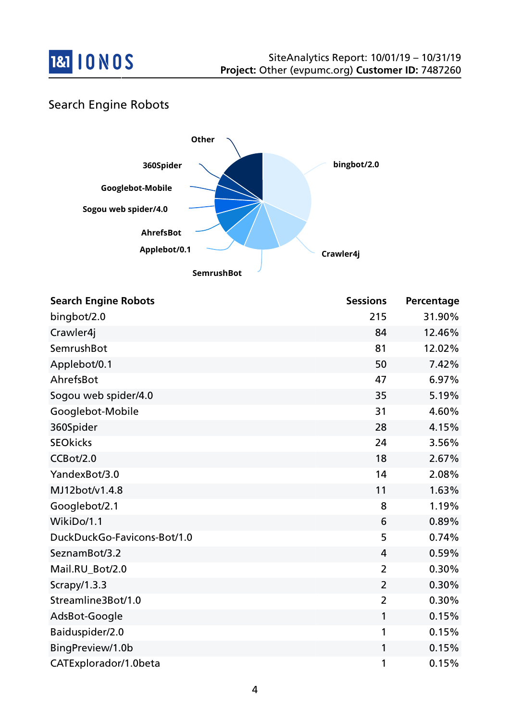

## Search Engine Robots



| <b>Search Engine Robots</b> | <b>Sessions</b> | Percentage |
|-----------------------------|-----------------|------------|
| bingbot/2.0                 | 215             | 31.90%     |
| Crawler4j                   | 84              | 12.46%     |
| SemrushBot                  | 81              | 12.02%     |
| Applebot/0.1                | 50              | 7.42%      |
| AhrefsBot                   | 47              | 6.97%      |
| Sogou web spider/4.0        | 35              | 5.19%      |
| Googlebot-Mobile            | 31              | 4.60%      |
| 360Spider                   | 28              | 4.15%      |
| <b>SEOkicks</b>             | 24              | 3.56%      |
| CCBot/2.0                   | 18              | 2.67%      |
| YandexBot/3.0               | 14              | 2.08%      |
| MJ12bot/v1.4.8              | 11              | 1.63%      |
| Googlebot/2.1               | 8               | 1.19%      |
| WikiDo/1.1                  | 6               | 0.89%      |
| DuckDuckGo-Favicons-Bot/1.0 | 5               | 0.74%      |
| SeznamBot/3.2               | 4               | 0.59%      |
| Mail.RU_Bot/2.0             | $\overline{2}$  | 0.30%      |
| Scrapy/1.3.3                | $\overline{2}$  | 0.30%      |
| Streamline3Bot/1.0          | $\overline{2}$  | 0.30%      |
| AdsBot-Google               | 1               | 0.15%      |
| Baiduspider/2.0             | 1               | 0.15%      |
| BingPreview/1.0b            | 1               | 0.15%      |
| CATExplorador/1.0beta       | 1               | 0.15%      |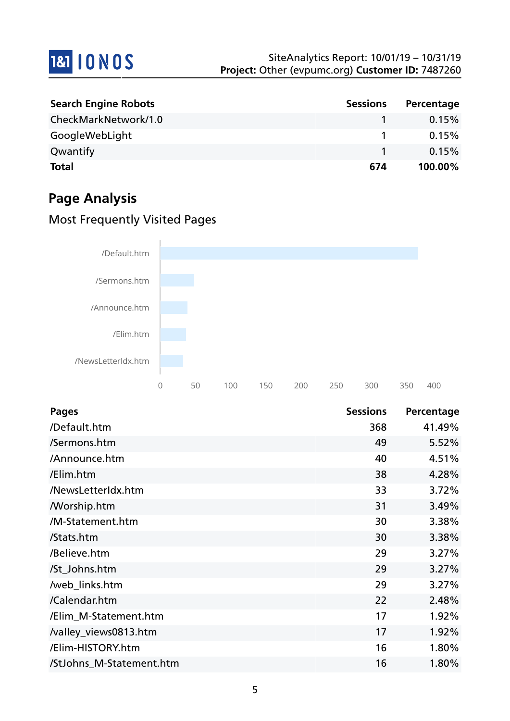

| <b>Search Engine Robots</b> | <b>Sessions</b> | Percentage |
|-----------------------------|-----------------|------------|
| CheckMarkNetwork/1.0        |                 | 0.15%      |
| GoogleWebLight              |                 | 0.15%      |
| Qwantify                    |                 | 0.15%      |
| <b>Total</b>                | 674             | 100.00%    |

# **Page Analysis**

## Most Frequently Visited Pages



| <b>Pages</b>             | <b>Sessions</b> | Percentage |
|--------------------------|-----------------|------------|
| /Default.htm             | 368             | 41.49%     |
| /Sermons.htm             | 49              | 5.52%      |
| /Announce.htm            | 40              | 4.51%      |
| /Elim.htm                | 38              | 4.28%      |
| /NewsLetterIdx.htm       | 33              | 3.72%      |
| <b>Morship.htm</b>       | 31              | 3.49%      |
| /M-Statement.htm         | 30              | 3.38%      |
| /Stats.htm               | 30              | 3.38%      |
| /Believe.htm             | 29              | 3.27%      |
| /St_Johns.htm            | 29              | 3.27%      |
| /web_links.htm           | 29              | 3.27%      |
| /Calendar.htm            | 22              | 2.48%      |
| /Elim_M-Statement.htm    | 17              | 1.92%      |
| /valley_views0813.htm    | 17              | 1.92%      |
| /Elim-HISTORY.htm        | 16              | 1.80%      |
| /StJohns_M-Statement.htm | 16              | 1.80%      |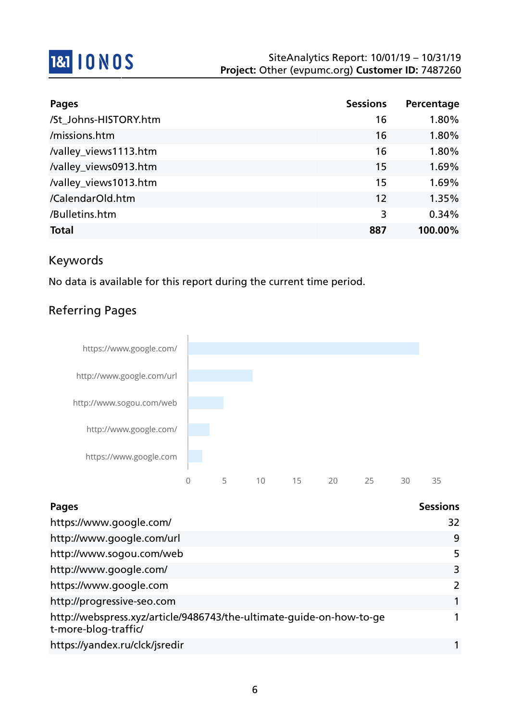

| <b>Pages</b>          | <b>Sessions</b> | Percentage |
|-----------------------|-----------------|------------|
| /St_Johns-HISTORY.htm | 16              | 1.80%      |
| /missions.htm         | 16              | 1.80%      |
| /valley_views1113.htm | 16              | 1.80%      |
| /valley_views0913.htm | 15              | 1.69%      |
| /valley_views1013.htm | 15              | 1.69%      |
| /CalendarOld.htm      | 12              | 1.35%      |
| /Bulletins.htm        | 3               | 0.34%      |
| <b>Total</b>          | 887             | 100.00%    |

## Keywords

No data is available for this report during the current time period.

## Referring Pages



| <b>Pages</b>                                                                                 | <b>Sessions</b> |
|----------------------------------------------------------------------------------------------|-----------------|
| https://www.google.com/                                                                      | 32              |
| http://www.google.com/url                                                                    | 9               |
| http://www.sogou.com/web                                                                     | 5               |
| http://www.google.com/                                                                       | 3               |
| https://www.google.com                                                                       | $\mathcal{L}$   |
| http://progressive-seo.com                                                                   |                 |
| http://webspress.xyz/article/9486743/the-ultimate-quide-on-how-to-ge<br>t-more-blog-traffic/ |                 |
| https://yandex.ru/clck/jsredir                                                               |                 |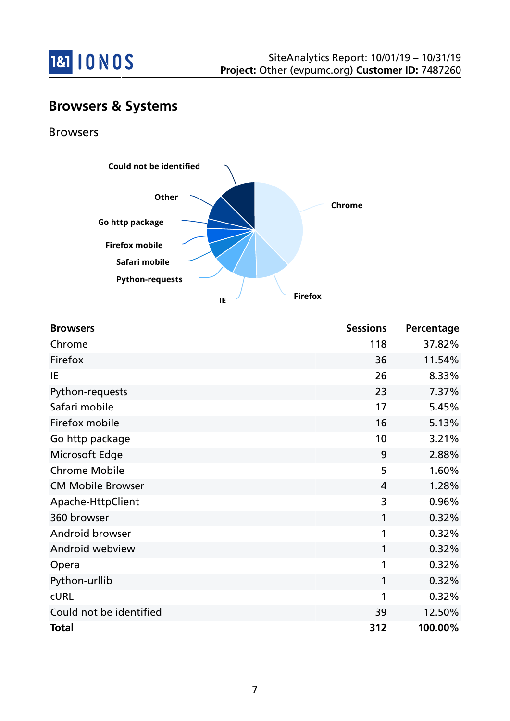

## **Browsers & Systems**

### Browsers



| <b>Browsers</b>          | <b>Sessions</b> | Percentage |
|--------------------------|-----------------|------------|
| Chrome                   | 118             | 37.82%     |
| Firefox                  | 36              | 11.54%     |
| IE                       | 26              | 8.33%      |
| Python-requests          | 23              | 7.37%      |
| Safari mobile            | 17              | 5.45%      |
| Firefox mobile           | 16              | 5.13%      |
| Go http package          | 10              | 3.21%      |
| Microsoft Edge           | 9               | 2.88%      |
| <b>Chrome Mobile</b>     | 5               | 1.60%      |
| <b>CM Mobile Browser</b> | $\overline{4}$  | 1.28%      |
| Apache-HttpClient        | 3               | 0.96%      |
| 360 browser              | 1               | 0.32%      |
| Android browser          | 1               | 0.32%      |
| Android webview          | 1               | 0.32%      |
| Opera                    | 1               | 0.32%      |
| Python-urllib            | 1               | 0.32%      |
| <b>CURL</b>              | 1               | 0.32%      |
| Could not be identified  | 39              | 12.50%     |
| <b>Total</b>             | 312             | 100.00%    |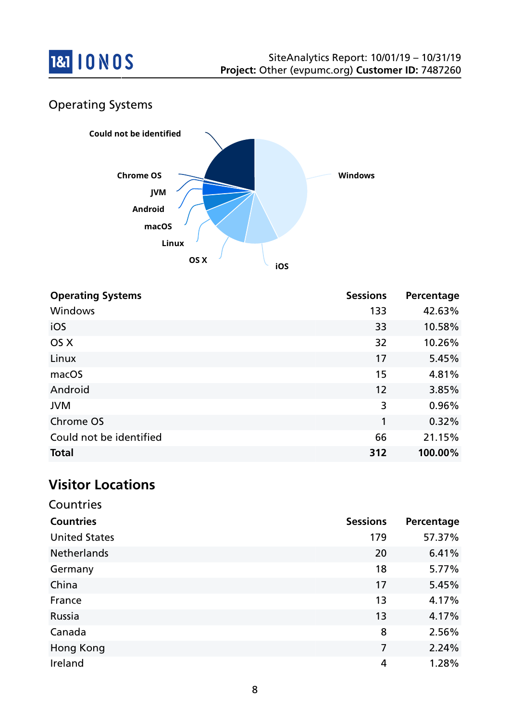

## Operating Systems



| <b>Operating Systems</b> | <b>Sessions</b> | Percentage |
|--------------------------|-----------------|------------|
| Windows                  | 133             | 42.63%     |
| iOS                      | 33              | 10.58%     |
| OS X                     | 32              | 10.26%     |
| Linux                    | 17              | 5.45%      |
| macOS                    | 15              | 4.81%      |
| Android                  | 12              | 3.85%      |
| <b>JVM</b>               | 3               | 0.96%      |
| Chrome OS                | 1               | 0.32%      |
| Could not be identified  | 66              | 21.15%     |
| <b>Total</b>             | 312             | 100.00%    |

## **Visitor Locations**

| Countries            |                 |            |
|----------------------|-----------------|------------|
| <b>Countries</b>     | <b>Sessions</b> | Percentage |
| <b>United States</b> | 179             | 57.37%     |
| <b>Netherlands</b>   | 20              | 6.41%      |
| Germany              | 18              | 5.77%      |
| China                | 17              | 5.45%      |
| France               | 13              | 4.17%      |
| Russia               | 13              | 4.17%      |
| Canada               | 8               | 2.56%      |
| Hong Kong            | 7               | 2.24%      |
| Ireland              | 4               | 1.28%      |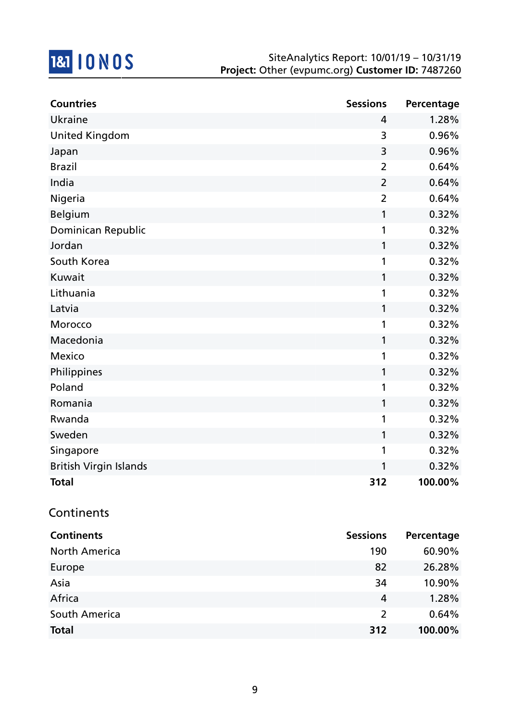

| <b>Countries</b>              | <b>Sessions</b> | Percentage |
|-------------------------------|-----------------|------------|
| Ukraine                       | 4               | 1.28%      |
| <b>United Kingdom</b>         | 3               | 0.96%      |
| Japan                         | 3               | 0.96%      |
| <b>Brazil</b>                 | $\overline{2}$  | 0.64%      |
| India                         | $\overline{2}$  | 0.64%      |
| Nigeria                       | $\overline{2}$  | 0.64%      |
| <b>Belgium</b>                | 1               | 0.32%      |
| Dominican Republic            | 1               | 0.32%      |
| Jordan                        | 1               | 0.32%      |
| South Korea                   | 1               | 0.32%      |
| Kuwait                        | 1               | 0.32%      |
| Lithuania                     | 1               | 0.32%      |
| Latvia                        | 1               | 0.32%      |
| Morocco                       | 1               | 0.32%      |
| Macedonia                     | 1               | 0.32%      |
| Mexico                        | 1               | 0.32%      |
| Philippines                   | 1               | 0.32%      |
| Poland                        | 1               | 0.32%      |
| Romania                       | 1               | 0.32%      |
| Rwanda                        | 1               | 0.32%      |
| Sweden                        | 1               | 0.32%      |
| Singapore                     | 1               | 0.32%      |
| <b>British Virgin Islands</b> | 1               | 0.32%      |
| Total                         | 312             | 100.00%    |
| Continents                    |                 |            |
| <b>Continents</b>             | <b>Sessions</b> | Percentage |
| <b>North America</b>          | 190             | 60.90%     |
|                               |                 |            |

| NOLUI AIIIEIICA | טכו           | 00.90%  |
|-----------------|---------------|---------|
| Europe          | 82            | 26.28%  |
| Asia            | 34            | 10.90%  |
| Africa          | 4             | 1.28%   |
| South America   | $\mathcal{L}$ | 0.64%   |
| Total           | 312           | 100.00% |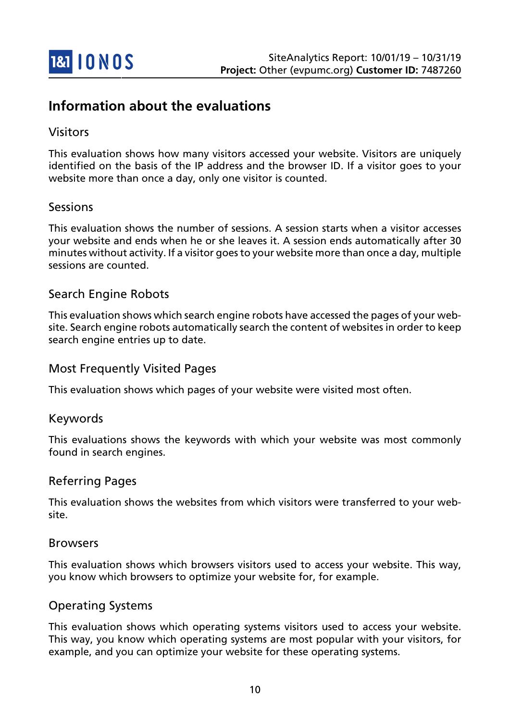

## **Information about the evaluations**

### Visitors

This evaluation shows how many visitors accessed your website. Visitors are uniquely identified on the basis of the IP address and the browser ID. If a visitor goes to your website more than once a day, only one visitor is counted.

### Sessions

This evaluation shows the number of sessions. A session starts when a visitor accesses your website and ends when he or she leaves it. A session ends automatically after 30 minutes without activity. If a visitor goes to your website more than once a day, multiple sessions are counted.

### Search Engine Robots

This evaluation shows which search engine robots have accessed the pages of your website. Search engine robots automatically search the content of websites in order to keep search engine entries up to date.

### Most Frequently Visited Pages

This evaluation shows which pages of your website were visited most often.

### Keywords

This evaluations shows the keywords with which your website was most commonly found in search engines.

### Referring Pages

This evaluation shows the websites from which visitors were transferred to your website.

#### Browsers

This evaluation shows which browsers visitors used to access your website. This way, you know which browsers to optimize your website for, for example.

### Operating Systems

This evaluation shows which operating systems visitors used to access your website. This way, you know which operating systems are most popular with your visitors, for example, and you can optimize your website for these operating systems.